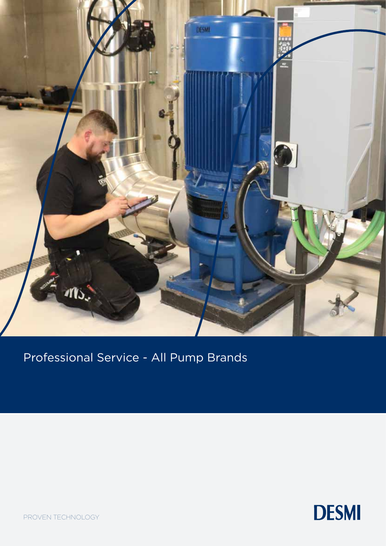

Professional Service - All Pump Brands



PROVEN TECHNOLOGY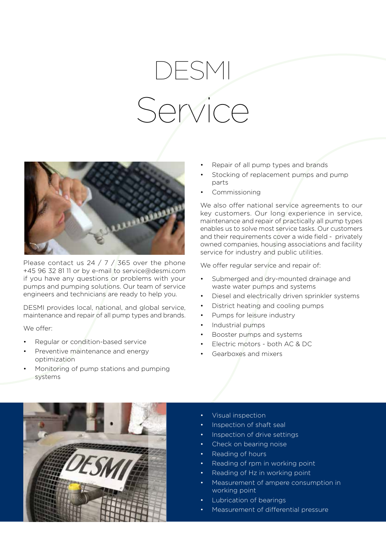## DESMI Service



Please contact us 24 / 7 / 365 over the phone +45 96 32 81 11 or by e-mail to service@desmi.com if you have any questions or problems with your pumps and pumping solutions. Our team of service engineers and technicians are ready to help you.

DESMI provides local, national, and global service, maintenance and repair of all pump types and brands.

We offer:

- Regular or condition-based service
- Preventive maintenance and energy optimization
- Monitoring of pump stations and pumping systems
- Repair of all pump types and brands
- Stocking of replacement pumps and pump parts
- Commissioning

We also offer national service agreements to our key customers. Our long experience in service, maintenance and repair of practically all pump types enables us to solve most service tasks. Our customers and their requirements cover a wide field - privately owned companies, housing associations and facility service for industry and public utilities.

We offer regular service and repair of:

- Submerged and dry-mounted drainage and waste water pumps and systems
- Diesel and electrically driven sprinkler systems
- District heating and cooling pumps
- Pumps for leisure industry
- Industrial pumps
- Booster pumps and systems
- Electric motors both AC & DC
- Gearboxes and mixers



- Visual inspection
- Inspection of shaft seal
- Inspection of drive settings
- Check on bearing noise
- Reading of hours
- Reading of rpm in working point
- Reading of Hz in working point
- Measurement of ampere consumption in working point
- Lubrication of bearings
- Measurement of differential pressure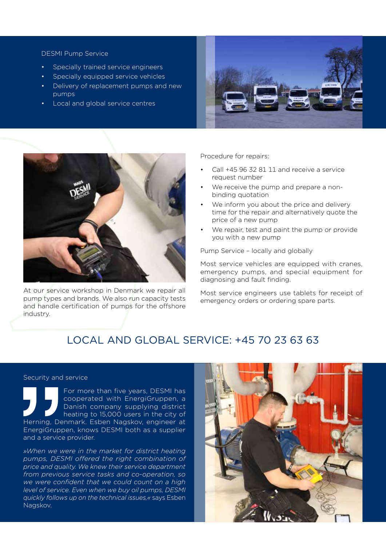## DESMI Pump Service

- Specially trained service engineers
- Specially equipped service vehicles
- Delivery of replacement pumps and new pumps
- Local and global service centres





At our service workshop in Denmark we repair all pump types and brands. We also run capacity tests and handle certification of pumps for the offshore industry.

Procedure for repairs:

- Call +45 96 32 81 11 and receive a service request number
- We receive the pump and prepare a nonbinding quotation
- We inform you about the price and delivery time for the repair and alternatively quote the price of a new pump
- We repair, test and paint the pump or provide you with a new pump

Pump Service – locally and globally

Most service vehicles are equipped with cranes, emergency pumps, and special equipment for diagnosing and fault finding.

Most service engineers use tablets for receipt of emergency orders or ordering spare parts.

## LOCAL AND GLOBAL SERVICE: +45 70 23 63 63

## Security and service

For more than five years, DESMI has cooperated with EnergiGruppen, a Danish company supplying district heating to 15,000 users in the city of Herning, Denmark. Esben Nagskov, engineer at EnergiGruppen, knows DESMI both as a supplier and a service provider.

*»When we were in the market for district heating pumps, DESMI offered the right combination of price and quality. We knew their service department from previous service tasks and co-operation, so we were confident that we could count on a high level of service. Even when we buy oil pumps, DESMI quickly follows up on the technical issues,«* says Esben Nagskov.